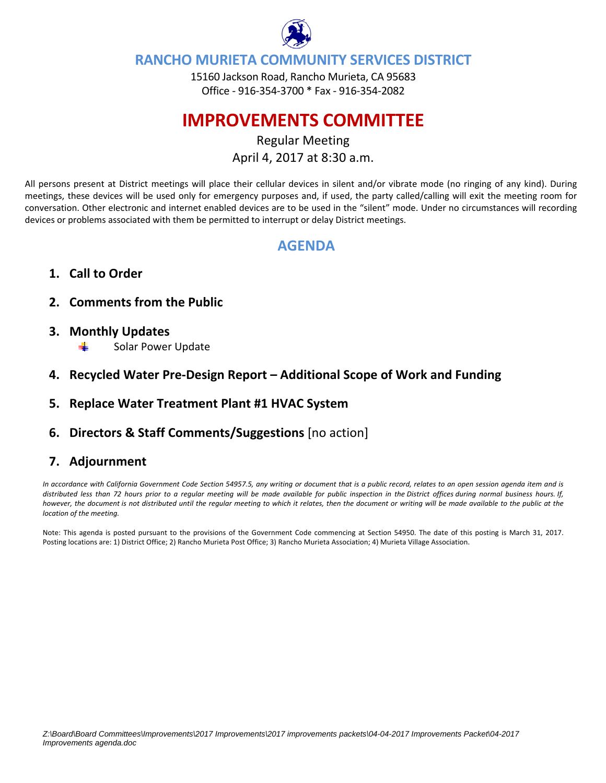

# **RANCHO MURIETA COMMUNITY SERVICES DISTRICT**

15160 Jackson Road, Rancho Murieta, CA 95683 Office ‐ 916‐354‐3700 \* Fax ‐ 916‐354‐2082

# **IMPROVEMENTS COMMITTEE**

Regular Meeting April 4, 2017 at 8:30 a.m.

All persons present at District meetings will place their cellular devices in silent and/or vibrate mode (no ringing of any kind). During meetings, these devices will be used only for emergency purposes and, if used, the party called/calling will exit the meeting room for conversation. Other electronic and internet enabled devices are to be used in the "silent" mode. Under no circumstances will recording devices or problems associated with them be permitted to interrupt or delay District meetings.

# **AGENDA**

- **1. Call to Order**
- **2. Comments from the Public**
- **3. Monthly Updates**  Solar Power Update
- **4. Recycled Water Pre‐Design Report – Additional Scope of Work and Funding**
- **5. Replace Water Treatment Plant #1 HVAC System**
- **6. Directors & Staff Comments/Suggestions** [no action]

# **7. Adjournment**

In accordance with California Government Code Section 54957.5, any writing or document that is a public record, relates to an open session agenda item and is distributed less than 72 hours prior to a regular meeting will be made available for public inspection in the District offices during normal business hours. If, however, the document is not distributed until the regular meeting to which it relates, then the document or writing will be made available to the public at the *location of the meeting.* 

Note: This agenda is posted pursuant to the provisions of the Government Code commencing at Section 54950. The date of this posting is March 31, 2017. Posting locations are: 1) District Office; 2) Rancho Murieta Post Office; 3) Rancho Murieta Association; 4) Murieta Village Association.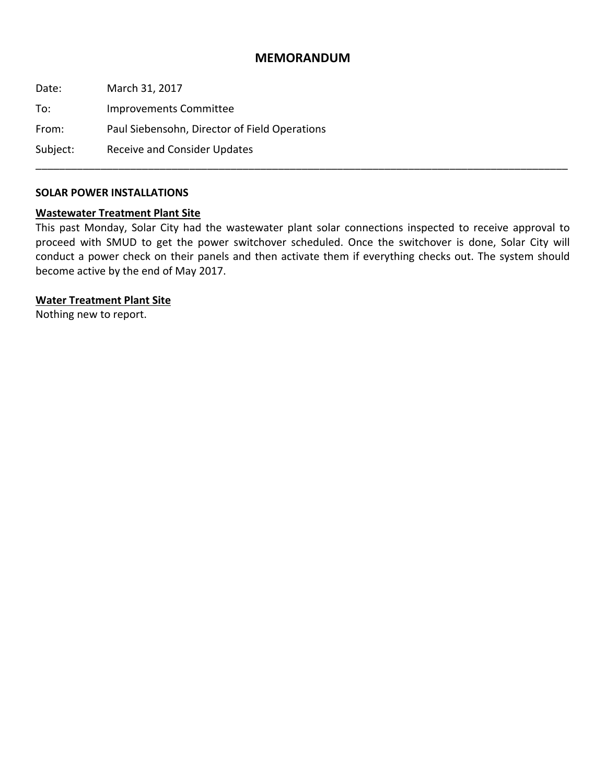## **MEMORANDUM**

Date: March 31, 2017 To: Improvements Committee From: Paul Siebensohn, Director of Field Operations Subject: Receive and Consider Updates \_\_\_\_\_\_\_\_\_\_\_\_\_\_\_\_\_\_\_\_\_\_\_\_\_\_\_\_\_\_\_\_\_\_\_\_\_\_\_\_\_\_\_\_\_\_\_\_\_\_\_\_\_\_\_\_\_\_\_\_\_\_\_\_\_\_\_\_\_\_\_\_\_\_\_\_\_\_\_\_\_\_\_\_\_\_\_\_\_\_

#### **SOLAR POWER INSTALLATIONS**

#### **Wastewater Treatment Plant Site**

This past Monday, Solar City had the wastewater plant solar connections inspected to receive approval to proceed with SMUD to get the power switchover scheduled. Once the switchover is done, Solar City will conduct a power check on their panels and then activate them if everything checks out. The system should become active by the end of May 2017.

#### **Water Treatment Plant Site**

Nothing new to report.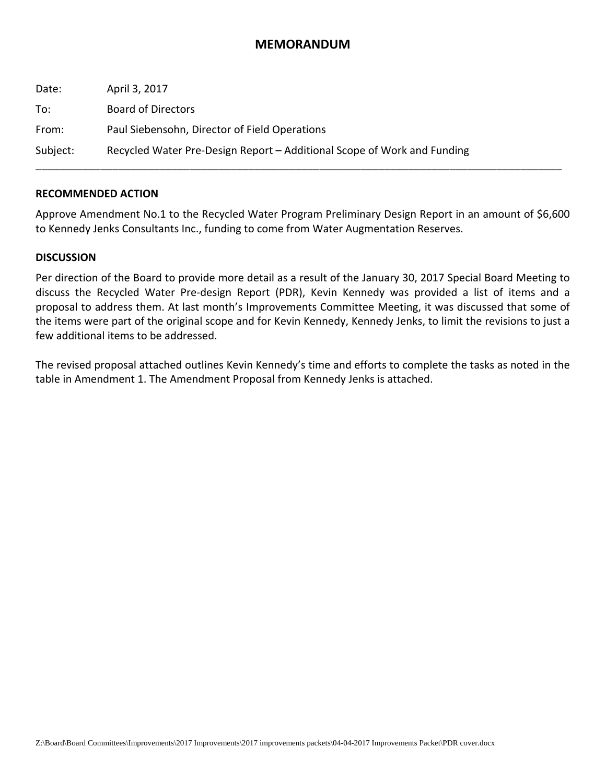# **MEMORANDUM**

| Date:    | April 3, 2017                                                           |
|----------|-------------------------------------------------------------------------|
| To:      | Board of Directors                                                      |
| From:    | Paul Siebensohn, Director of Field Operations                           |
| Subject: | Recycled Water Pre-Design Report – Additional Scope of Work and Funding |

#### **RECOMMENDED ACTION**

Approve Amendment No.1 to the Recycled Water Program Preliminary Design Report in an amount of \$6,600 to Kennedy Jenks Consultants Inc., funding to come from Water Augmentation Reserves.

### **DISCUSSION**

Per direction of the Board to provide more detail as a result of the January 30, 2017 Special Board Meeting to discuss the Recycled Water Pre‐design Report (PDR), Kevin Kennedy was provided a list of items and a proposal to address them. At last month's Improvements Committee Meeting, it was discussed that some of the items were part of the original scope and for Kevin Kennedy, Kennedy Jenks, to limit the revisions to just a few additional items to be addressed.

The revised proposal attached outlines Kevin Kennedy's time and efforts to complete the tasks as noted in the table in Amendment 1. The Amendment Proposal from Kennedy Jenks is attached.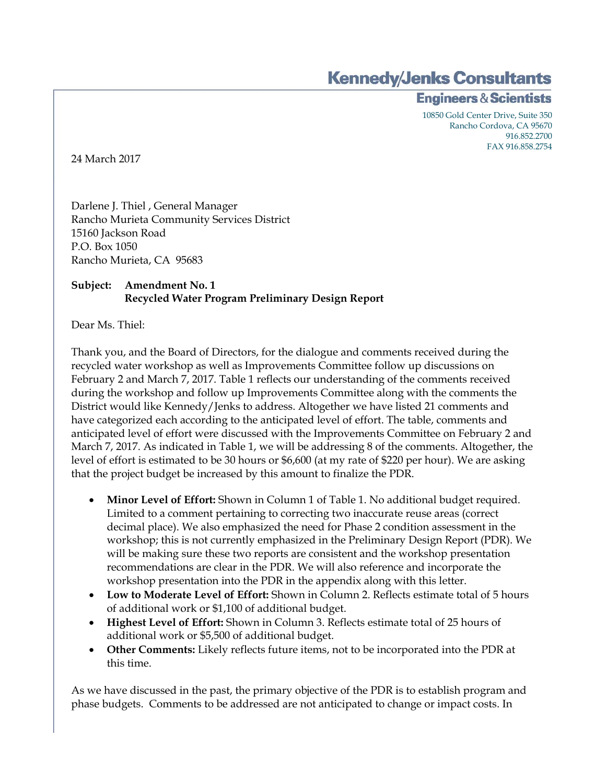**Kennedy/Jenks Consultants** 

**Engineers & Scientists** 

10850 Gold Center Drive, Suite 350 Rancho Cordova, CA 95670 916.852.2700 FAX 916.858.2754

24 March 2017

Darlene J. Thiel , General Manager Rancho Murieta Community Services District 15160 Jackson Road P.O. Box 1050 Rancho Murieta, CA 95683

# **Subject: Amendment No. 1 Recycled Water Program Preliminary Design Report**

Dear Ms. Thiel:

Thank you, and the Board of Directors, for the dialogue and comments received during the recycled water workshop as well as Improvements Committee follow up discussions on February 2 and March 7, 2017. Table 1 reflects our understanding of the comments received during the workshop and follow up Improvements Committee along with the comments the District would like Kennedy/Jenks to address. Altogether we have listed 21 comments and have categorized each according to the anticipated level of effort. The table, comments and anticipated level of effort were discussed with the Improvements Committee on February 2 and March 7, 2017. As indicated in Table 1, we will be addressing 8 of the comments. Altogether, the level of effort is estimated to be 30 hours or \$6,600 (at my rate of \$220 per hour). We are asking that the project budget be increased by this amount to finalize the PDR.

- **Minor Level of Effort:** Shown in Column 1 of Table 1. No additional budget required. Limited to a comment pertaining to correcting two inaccurate reuse areas (correct decimal place). We also emphasized the need for Phase 2 condition assessment in the workshop; this is not currently emphasized in the Preliminary Design Report (PDR). We will be making sure these two reports are consistent and the workshop presentation recommendations are clear in the PDR. We will also reference and incorporate the workshop presentation into the PDR in the appendix along with this letter.
- **Low to Moderate Level of Effort:** Shown in Column 2. Reflects estimate total of 5 hours of additional work or \$1,100 of additional budget.
- **Highest Level of Effort:** Shown in Column 3. Reflects estimate total of 25 hours of additional work or \$5,500 of additional budget.
- **Other Comments:** Likely reflects future items, not to be incorporated into the PDR at this time.

As we have discussed in the past, the primary objective of the PDR is to establish program and phase budgets. Comments to be addressed are not anticipated to change or impact costs. In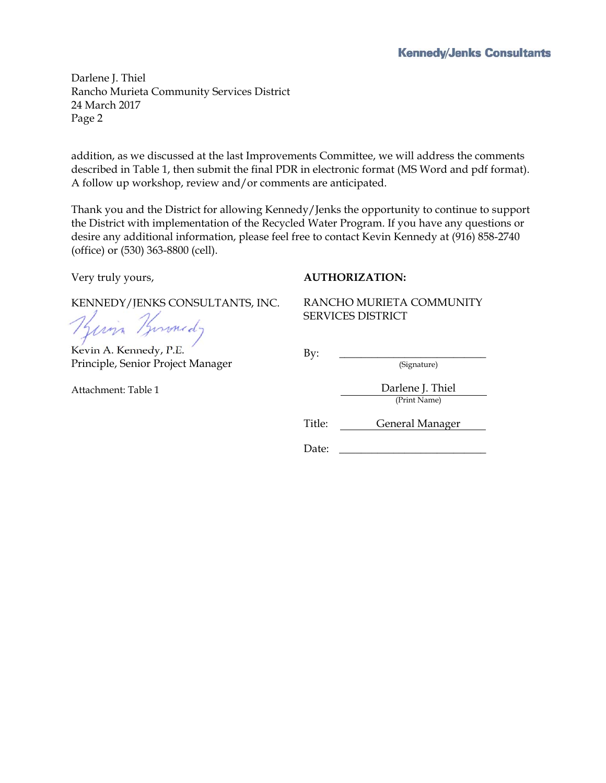Darlene J. Thiel Rancho Murieta Community Services District 24 March 2017 Page 2

addition, as we discussed at the last Improvements Committee, we will address the comments described in Table 1, then submit the final PDR in electronic format (MS Word and pdf format). A follow up workshop, review and/or comments are anticipated.

Thank you and the District for allowing Kennedy/Jenks the opportunity to continue to support the District with implementation of the Recycled Water Program. If you have any questions or desire any additional information, please feel free to contact Kevin Kennedy at (916) 858-2740 (office) or (530) 363-8800 (cell).

Very truly yours,

### **AUTHORIZATION:**

KENNEDY/JENKS CONSULTANTS, INC.

Kuin Burnedy

Kevin A. Kennedy, P.E. Principle, Senior Project Manager

Attachment: Table 1

RANCHO MURIETA COMMUNITY SERVICES DISTRICT

By: \_\_\_\_\_\_\_\_\_\_\_\_\_\_\_\_\_\_\_\_\_\_\_\_\_\_\_

(Signature)

Darlene J. Thiel (Print Name)

Title: General Manager

Date: \_\_\_\_\_\_\_\_\_\_\_\_\_\_\_\_\_\_\_\_\_\_\_\_\_\_\_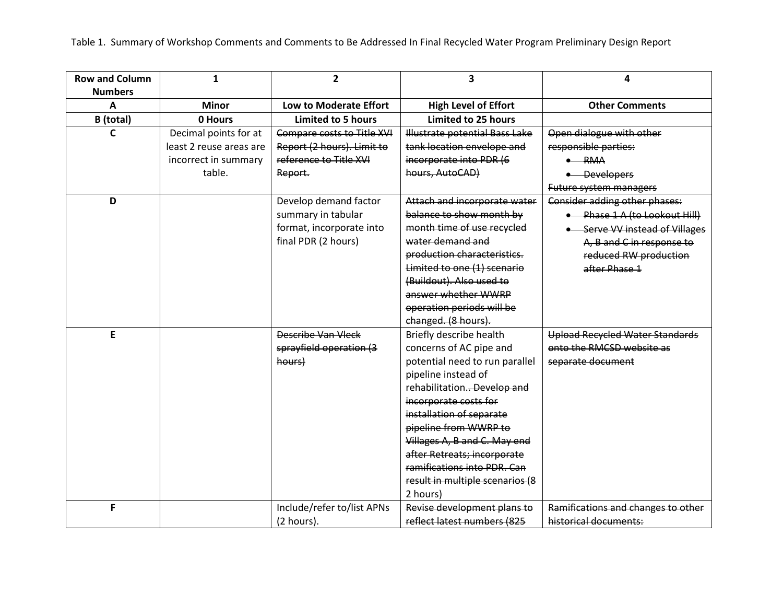Table 1. Summary of Workshop Comments and Comments to Be Addressed In Final Recycled Water Program Preliminary Design Report

| <b>Row and Column</b> | $\mathbf{1}$            | $\overline{2}$             | $\overline{\mathbf{3}}$         | 4                                      |
|-----------------------|-------------------------|----------------------------|---------------------------------|----------------------------------------|
| <b>Numbers</b>        |                         |                            |                                 |                                        |
| A                     | <b>Minor</b>            | Low to Moderate Effort     | <b>High Level of Effort</b>     | <b>Other Comments</b>                  |
| B (total)             | 0 Hours                 | <b>Limited to 5 hours</b>  | <b>Limited to 25 hours</b>      |                                        |
| C                     | Decimal points for at   | Compare costs to Title XVI | Illustrate potential Bass Lake  | Open dialogue with other               |
|                       | least 2 reuse areas are | Report (2 hours). Limit to | tank location envelope and      | responsible parties:                   |
|                       | incorrect in summary    | reference to Title XVI     | incorporate into PDR (6         | $\bullet$ RMA                          |
|                       | table.                  | Report.                    | hours, AutoCAD)                 | • Developers                           |
|                       |                         |                            |                                 | Future system managers                 |
| D                     |                         | Develop demand factor      | Attach and incorporate water    | Consider adding other phases:          |
|                       |                         | summary in tabular         | balance to show month by        | • Phase 1 A (to Lookout Hill)          |
|                       |                         | format, incorporate into   | month time of use recycled      | • Serve VV instead of Villages         |
|                       |                         | final PDR (2 hours)        | water demand and                | A, B and C in response to              |
|                       |                         |                            | production characteristics.     | reduced RW production                  |
|                       |                         |                            | Limited to one (1) scenario     | after Phase 1                          |
|                       |                         |                            | (Buildout). Also used to        |                                        |
|                       |                         |                            | answer whether WWRP             |                                        |
|                       |                         |                            | operation periods will be       |                                        |
|                       |                         |                            | changed. (8 hours).             |                                        |
| E                     |                         | Describe Van Vleck         | Briefly describe health         | <b>Upload Recycled Water Standards</b> |
|                       |                         | sprayfield operation (3    | concerns of AC pipe and         | onto the RMCSD website as              |
|                       |                         | hours)                     | potential need to run parallel  | separate document                      |
|                       |                         |                            | pipeline instead of             |                                        |
|                       |                         |                            | rehabilitation. Develop and     |                                        |
|                       |                         |                            | incorporate costs for           |                                        |
|                       |                         |                            | installation of separate        |                                        |
|                       |                         |                            | pipeline from WWRP to           |                                        |
|                       |                         |                            | Villages A, B and C. May end    |                                        |
|                       |                         |                            | after Retreats; incorporate     |                                        |
|                       |                         |                            | ramifications into PDR. Can     |                                        |
|                       |                         |                            | result in multiple scenarios (8 |                                        |
|                       |                         |                            | 2 hours)                        |                                        |
| F                     |                         | Include/refer to/list APNs | Revise development plans to     | Ramifications and changes to other     |
|                       |                         | (2 hours).                 | reflect latest numbers (825     | historical documents:                  |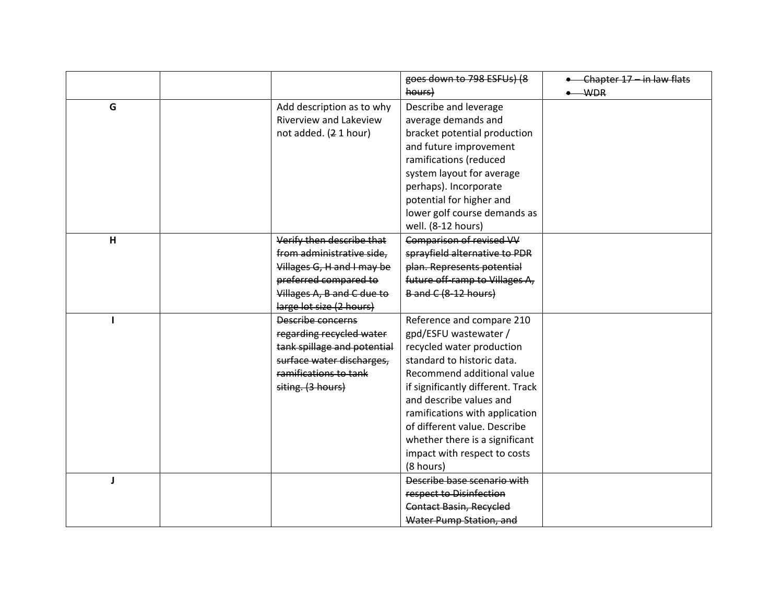|   |                             | goes down to 798 ESFUs) (8        | • Chapter 17 - in law flats |
|---|-----------------------------|-----------------------------------|-----------------------------|
|   |                             | hours)                            | $-WDR$                      |
| G | Add description as to why   | Describe and leverage             |                             |
|   | Riverview and Lakeview      | average demands and               |                             |
|   | not added. (2 1 hour)       | bracket potential production      |                             |
|   |                             | and future improvement            |                             |
|   |                             | ramifications (reduced            |                             |
|   |                             | system layout for average         |                             |
|   |                             | perhaps). Incorporate             |                             |
|   |                             | potential for higher and          |                             |
|   |                             | lower golf course demands as      |                             |
|   |                             | well. (8-12 hours)                |                             |
| H | Verify then describe that   | Comparison of revised VV          |                             |
|   | from administrative side.   | sprayfield alternative to PDR     |                             |
|   | Villages G, H and I may be  | plan. Represents potential        |                             |
|   | preferred compared to       | future off-ramp to Villages A,    |                             |
|   | Villages A, B and C due to  | <b>B</b> and C (8-12 hours)       |                             |
|   | large lot size (2 hours)    |                                   |                             |
|   | Describe concerns           | Reference and compare 210         |                             |
|   | regarding recycled water    | gpd/ESFU wastewater /             |                             |
|   | tank spillage and potential | recycled water production         |                             |
|   | surface water discharges,   | standard to historic data.        |                             |
|   | ramifications to tank       | Recommend additional value        |                             |
|   | siting. (3 hours)           | if significantly different. Track |                             |
|   |                             | and describe values and           |                             |
|   |                             | ramifications with application    |                             |
|   |                             | of different value. Describe      |                             |
|   |                             | whether there is a significant    |                             |
|   |                             | impact with respect to costs      |                             |
|   |                             | (8 hours)                         |                             |
| J |                             | Describe base scenario with       |                             |
|   |                             | respect to Disinfection           |                             |
|   |                             | <b>Contact Basin, Recycled</b>    |                             |
|   |                             | Water Pump Station, and           |                             |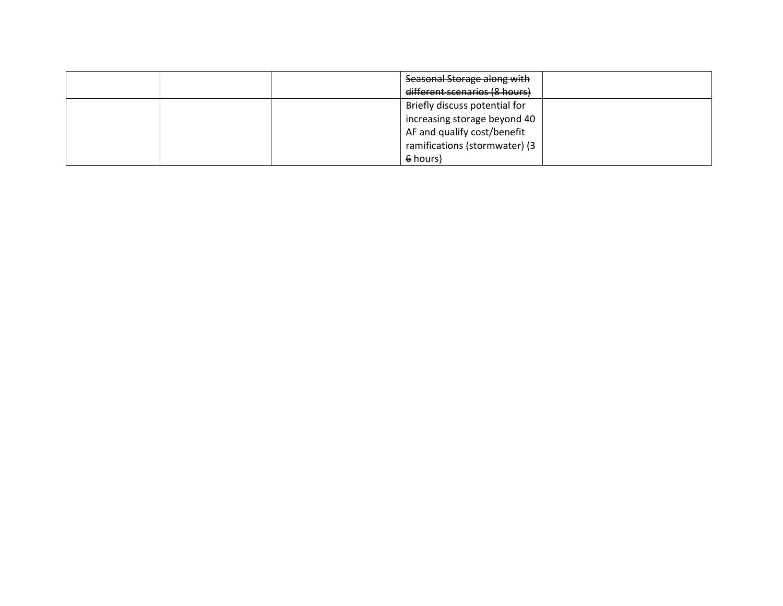|  | Seasonal Storage along with   |  |
|--|-------------------------------|--|
|  | different scenarios (8 hours) |  |
|  | Briefly discuss potential for |  |
|  | increasing storage beyond 40  |  |
|  | AF and qualify cost/benefit   |  |
|  | ramifications (stormwater) (3 |  |
|  | 6 hours)                      |  |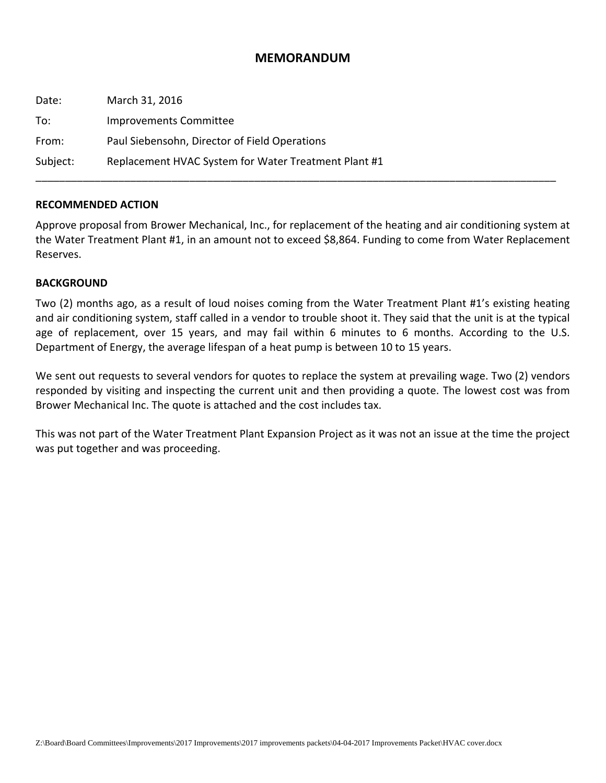## **MEMORANDUM**

| Date:    | March 31, 2016                                       |
|----------|------------------------------------------------------|
| To:      | Improvements Committee                               |
| From:    | Paul Siebensohn, Director of Field Operations        |
| Subject: | Replacement HVAC System for Water Treatment Plant #1 |

#### **RECOMMENDED ACTION**

Approve proposal from Brower Mechanical, Inc., for replacement of the heating and air conditioning system at the Water Treatment Plant #1, in an amount not to exceed \$8,864. Funding to come from Water Replacement Reserves.

#### **BACKGROUND**

Two (2) months ago, as a result of loud noises coming from the Water Treatment Plant #1's existing heating and air conditioning system, staff called in a vendor to trouble shoot it. They said that the unit is at the typical age of replacement, over 15 years, and may fail within 6 minutes to 6 months. According to the U.S. Department of Energy, the average lifespan of a heat pump is between 10 to 15 years.

We sent out requests to several vendors for quotes to replace the system at prevailing wage. Two (2) vendors responded by visiting and inspecting the current unit and then providing a quote. The lowest cost was from Brower Mechanical Inc. The quote is attached and the cost includes tax.

This was not part of the Water Treatment Plant Expansion Project as it was not an issue at the time the project was put together and was proceeding.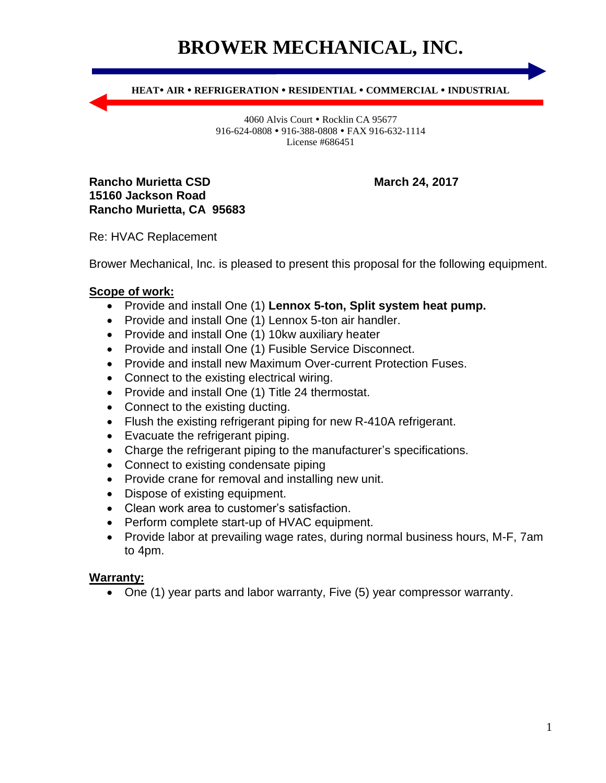# **BROWER MECHANICAL, INC.**

**HEAT AIR REFRIGERATION RESIDENTIAL COMMERCIAL INDUSTRIAL**

4060 Alvis Court • Rocklin CA 95677 916-624-0808 • 916-388-0808 • FAX 916-632-1114 License #686451

**Rancho Murietta CSD** March 24, 2017 **15160 Jackson Road Rancho Murietta, CA 95683**

Re: HVAC Replacement

Brower Mechanical, Inc. is pleased to present this proposal for the following equipment.

## **Scope of work:**

- Provide and install One (1) **Lennox 5-ton, Split system heat pump.**
- Provide and install One (1) Lennox 5-ton air handler.
- Provide and install One (1) 10kw auxiliary heater
- Provide and install One (1) Fusible Service Disconnect.
- Provide and install new Maximum Over-current Protection Fuses.
- Connect to the existing electrical wiring.
- Provide and install One (1) Title 24 thermostat.
- Connect to the existing ducting.
- Flush the existing refrigerant piping for new R-410A refrigerant.
- Evacuate the refrigerant piping.
- Charge the refrigerant piping to the manufacturer's specifications.
- Connect to existing condensate piping
- Provide crane for removal and installing new unit.
- Dispose of existing equipment.
- Clean work area to customer's satisfaction.
- Perform complete start-up of HVAC equipment.
- Provide labor at prevailing wage rates, during normal business hours, M-F, 7am to 4pm.

#### **Warranty:**

One (1) year parts and labor warranty, Five (5) year compressor warranty.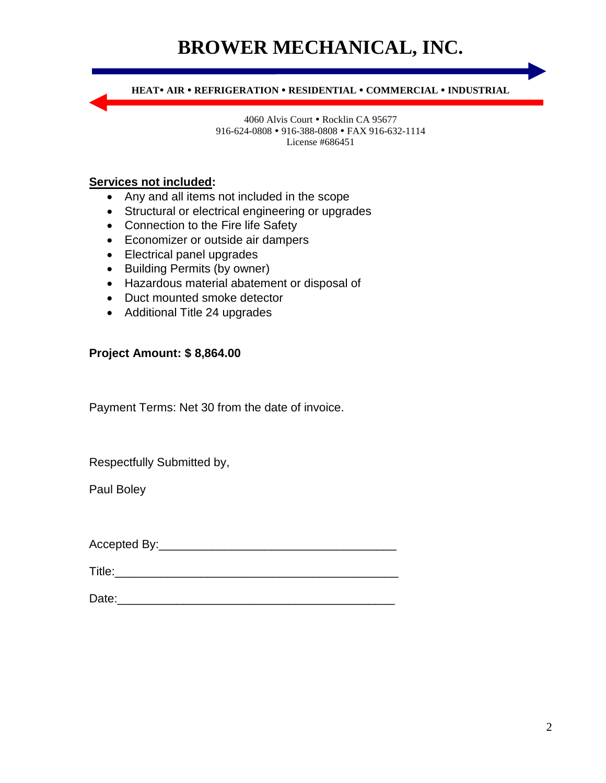# **BROWER MECHANICAL, INC.**

**HEAT AIR REFRIGERATION RESIDENTIAL COMMERCIAL INDUSTRIAL**

4060 Alvis Court • Rocklin CA 95677 916-624-0808 • 916-388-0808 • FAX 916-632-1114 License #686451

## **Services not included:**

- Any and all items not included in the scope
- Structural or electrical engineering or upgrades
- Connection to the Fire life Safety
- Economizer or outside air dampers
- Electrical panel upgrades
- Building Permits (by owner)
- Hazardous material abatement or disposal of
- Duct mounted smoke detector
- Additional Title 24 upgrades

### **Project Amount: \$ 8,864.00**

Payment Terms: Net 30 from the date of invoice.

Respectfully Submitted by,

Paul Boley

Accepted By:\_\_\_\_\_\_\_\_\_\_\_\_\_\_\_\_\_\_\_\_\_\_\_\_\_\_\_\_\_\_\_\_\_\_\_\_

Title:\_\_\_\_\_\_\_\_\_\_\_\_\_\_\_\_\_\_\_\_\_\_\_\_\_\_\_\_\_\_\_\_\_\_\_\_\_\_\_\_\_\_\_

Date: